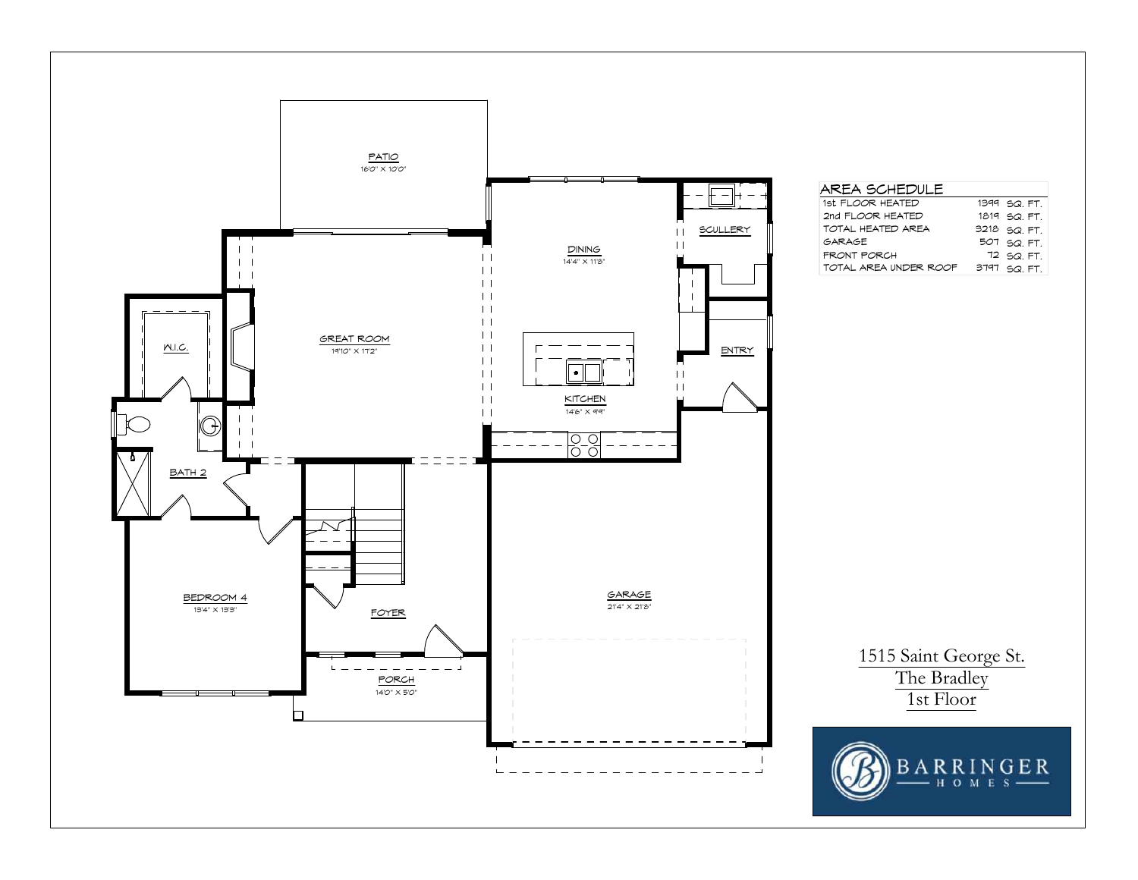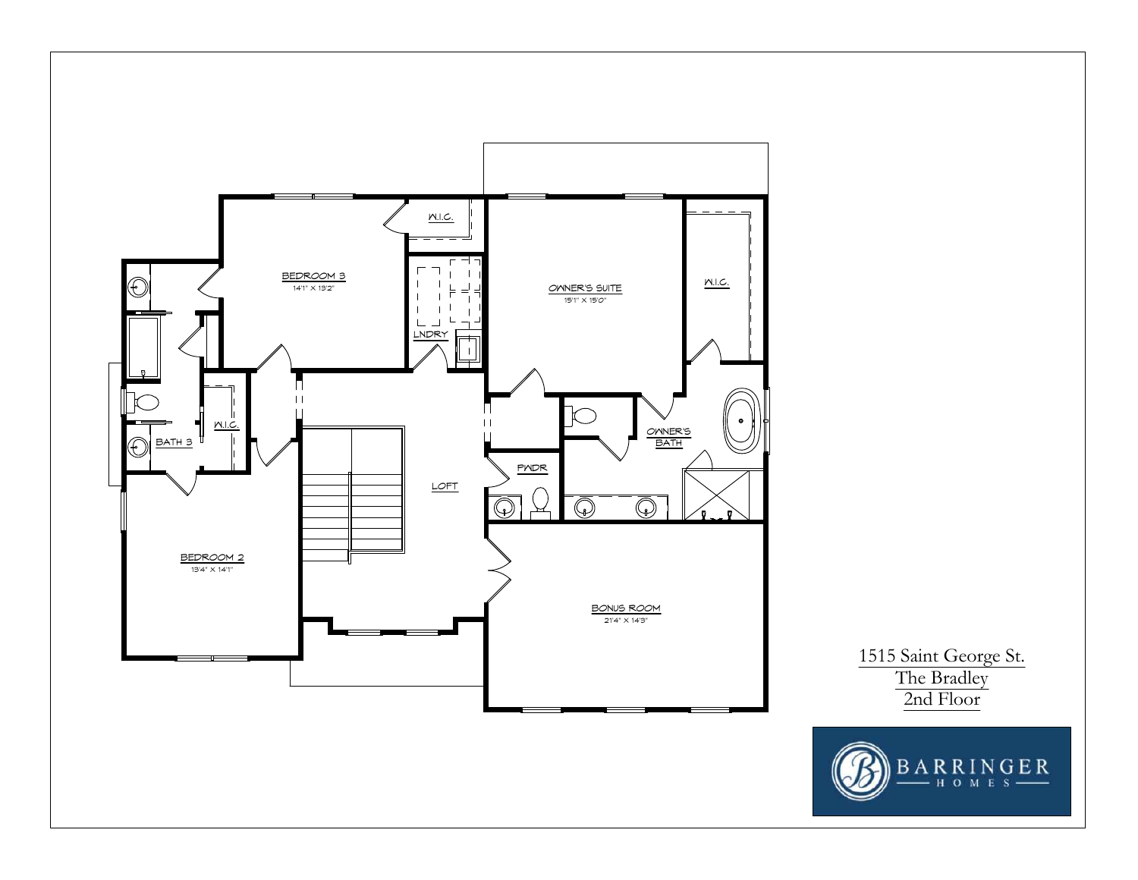

1515 Saint George St. The Bradley 2nd Floor

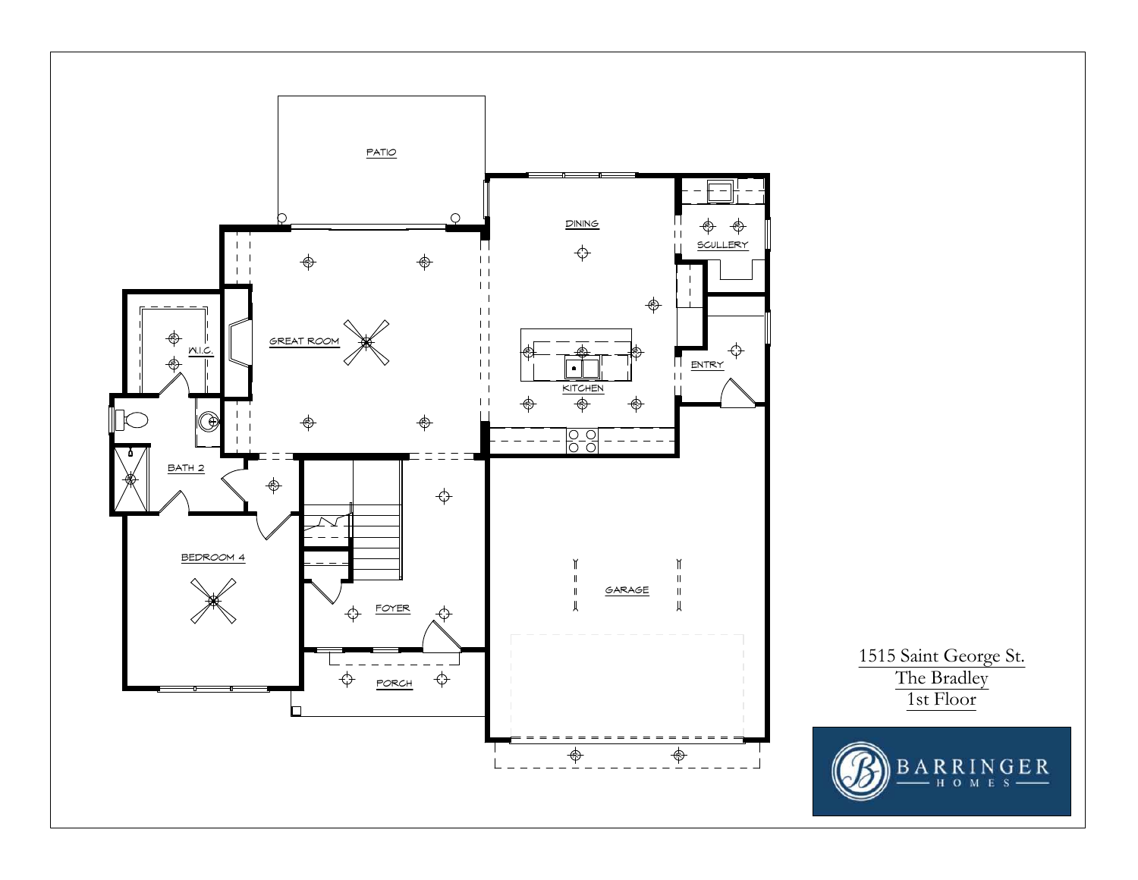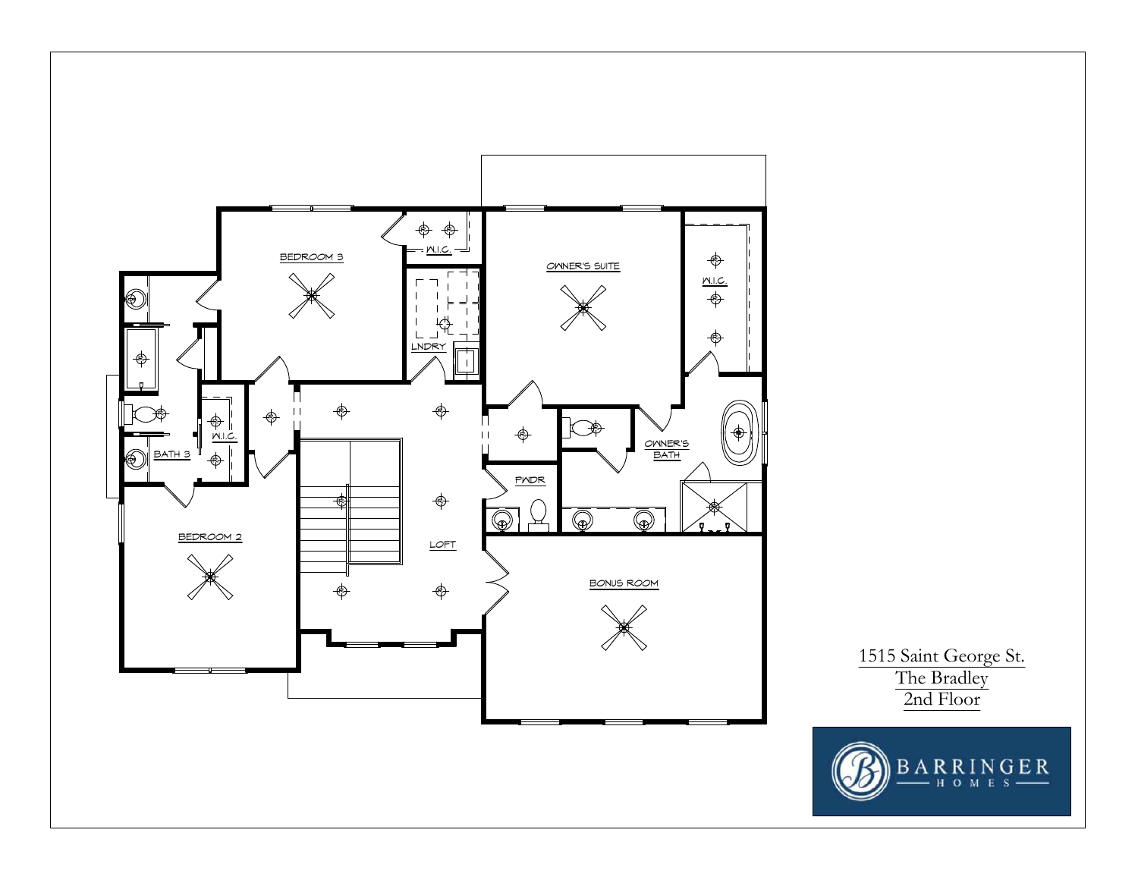

1515 Saint George St. The Bradley 2nd Floor